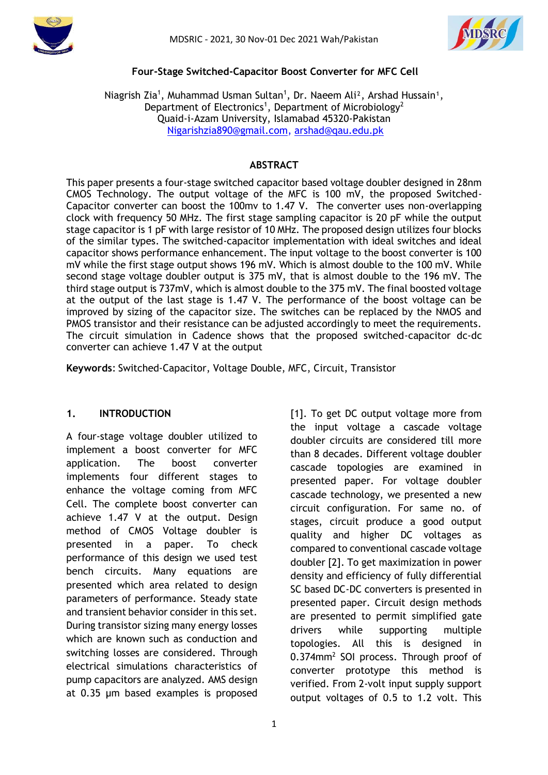



#### **Four-Stage Switched-Capacitor Boost Converter for MFC Cell**

Niagrish Zia<sup>1</sup>, Muhammad Usman Sultan<sup>1</sup>, Dr. Naeem Ali<sup>2</sup>, Arshad Hussain<sup>1</sup>, Department of Electronics<sup>1</sup>, Department of Microbiology<sup>2</sup> Quaid-i-Azam University, Islamabad 45320-Pakistan [Nigarishzia890@gmail.com,](mailto:%20m.ahmad.qau@gmail.com) [arshad@qau.edu.pk](mailto:arshad@qau.edu.pk)

#### **ABSTRACT**

This paper presents a four-stage switched capacitor based voltage doubler designed in 28nm CMOS Technology. The output voltage of the MFC is 100 mV, the proposed Switched-Capacitor converter can boost the 100mv to 1.47 V. The converter uses non-overlapping clock with frequency 50 MHz. The first stage sampling capacitor is 20 pF while the output stage capacitor is 1 pF with large resistor of 10 MHz. The proposed design utilizes four blocks of the similar types. The switched-capacitor implementation with ideal switches and ideal capacitor shows performance enhancement. The input voltage to the boost converter is 100 mV while the first stage output shows 196 mV. Which is almost double to the 100 mV. While second stage voltage doubler output is 375 mV, that is almost double to the 196 mV. The third stage output is 737mV, which is almost double to the 375 mV. The final boosted voltage at the output of the last stage is 1.47 V. The performance of the boost voltage can be improved by sizing of the capacitor size. The switches can be replaced by the NMOS and PMOS transistor and their resistance can be adjusted accordingly to meet the requirements. The circuit simulation in Cadence shows that the proposed switched-capacitor dc-dc converter can achieve 1.47 V at the output

**Keywords**: Switched-Capacitor, Voltage Double, MFC, Circuit, Transistor

#### **1. INTRODUCTION**

A four-stage voltage doubler utilized to implement a boost converter for MFC application. The boost converter implements four different stages to enhance the voltage coming from MFC Cell. The complete boost converter can achieve 1.47 V at the output. Design method of CMOS Voltage doubler is presented in a paper. To check performance of this design we used test bench circuits. Many equations are presented which area related to design parameters of performance. Steady state and transient behavior consider in this set. During transistor sizing many energy losses which are known such as conduction and switching losses are considered. Through electrical simulations characteristics of pump capacitors are analyzed. AMS design at 0.35 µm based examples is proposed

1

[1]. To get DC output voltage more from the input voltage a cascade voltage doubler circuits are considered till more than 8 decades. Different voltage doubler cascade topologies are examined in presented paper. For voltage doubler cascade technology, we presented a new circuit configuration. For same no. of stages, circuit produce a good output quality and higher DC voltages as compared to conventional cascade voltage doubler [2]. To get maximization in power density and efficiency of fully differential SC based DC-DC converters is presented in presented paper. Circuit design methods are presented to permit simplified gate drivers while supporting multiple topologies. All this is designed in 0.374mm<sup>2</sup> SOI process. Through proof of converter prototype this method is verified. From 2-volt input supply support output voltages of 0.5 to 1.2 volt. This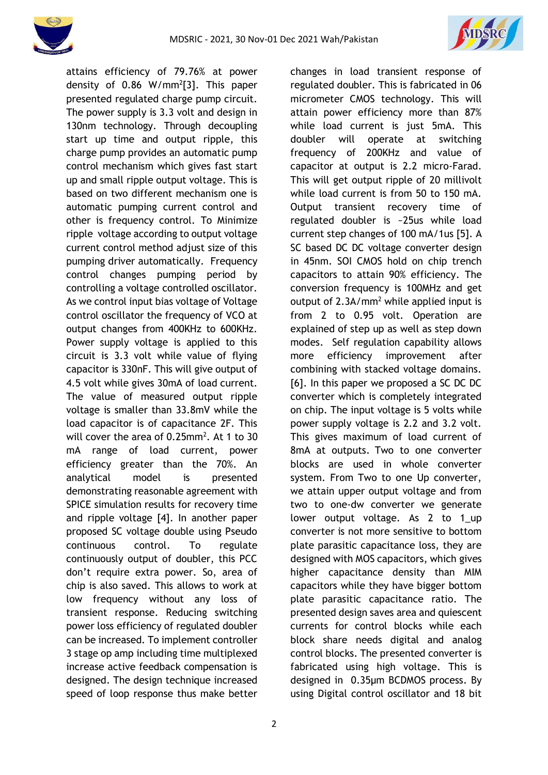



attains efficiency of 79.76% at power density of 0.86 W/mm<sup>2</sup>[3]. This paper presented regulated charge pump circuit. The power supply is 3.3 volt and design in 130nm technology. Through decoupling start up time and output ripple, this charge pump provides an automatic pump control mechanism which gives fast start up and small ripple output voltage. This is based on two different mechanism one is automatic pumping current control and other is frequency control. To Minimize ripple voltage according to output voltage current control method adjust size of this pumping driver automatically. Frequency control changes pumping period by controlling a voltage controlled oscillator. As we control input bias voltage of Voltage control oscillator the frequency of VCO at output changes from 400KHz to 600KHz. Power supply voltage is applied to this circuit is 3.3 volt while value of flying capacitor is 330nF. This will give output of 4.5 volt while gives 30mA of load current. The value of measured output ripple voltage is smaller than 33.8mV while the load capacitor is of capacitance 2F. This will cover the area of 0.25mm<sup>2</sup>. At 1 to 30 mA range of load current, power efficiency greater than the 70%. An analytical model is presented demonstrating reasonable agreement with SPICE simulation results for recovery time and ripple voltage [4]. In another paper proposed SC voltage double using Pseudo continuous control. To regulate continuously output of doubler, this PCC don't require extra power. So, area of chip is also saved. This allows to work at low frequency without any loss of transient response. Reducing switching power loss efficiency of regulated doubler can be increased. To implement controller 3 stage op amp including time multiplexed increase active feedback compensation is designed. The design technique increased speed of loop response thus make better

changes in load transient response of regulated doubler. This is fabricated in 06 micrometer CMOS technology. This will attain power efficiency more than 87% while load current is just 5mA. This doubler will operate at switching frequency of 200KHz and value of capacitor at output is 2.2 micro-Farad. This will get output ripple of 20 millivolt while load current is from 50 to 150 mA. Output transient recovery time of regulated doubler is ~25us while load current step changes of 100 mA/1us [5]. A SC based DC DC voltage converter design in 45nm. SOI CMOS hold on chip trench capacitors to attain 90% efficiency. The conversion frequency is 100MHz and get output of 2.3A/mm<sup>2</sup> while applied input is from 2 to 0.95 volt. Operation are explained of step up as well as step down modes. Self regulation capability allows more efficiency improvement after combining with stacked voltage domains. [6]. In this paper we proposed a SC DC DC converter which is completely integrated on chip. The input voltage is 5 volts while power supply voltage is 2.2 and 3.2 volt. This gives maximum of load current of 8mA at outputs. Two to one converter blocks are used in whole converter system. From Two to one Up converter, we attain upper output voltage and from two to one-dw converter we generate lower output voltage. As 2 to 1\_up converter is not more sensitive to bottom plate parasitic capacitance loss, they are designed with MOS capacitors, which gives higher capacitance density than MIM capacitors while they have bigger bottom plate parasitic capacitance ratio. The presented design saves area and quiescent currents for control blocks while each block share needs digital and analog control blocks. The presented converter is fabricated using high voltage. This is designed in 0.35μm BCDMOS process. By using Digital control oscillator and 18 bit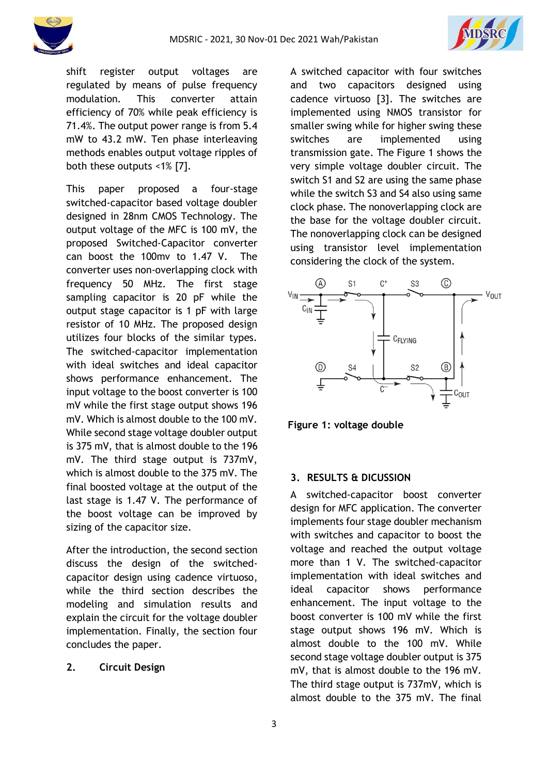



shift register output voltages are regulated by means of pulse frequency modulation. This converter attain efficiency of 70% while peak efficiency is 71.4%. The output power range is from 5.4 mW to 43.2 mW. Ten phase interleaving methods enables output voltage ripples of both these outputs <1% [7].

This paper proposed a four-stage switched-capacitor based voltage doubler designed in 28nm CMOS Technology. The output voltage of the MFC is 100 mV, the proposed Switched-Capacitor converter can boost the 100mv to 1.47 V. The converter uses non-overlapping clock with frequency 50 MHz. The first stage sampling capacitor is 20 pF while the output stage capacitor is 1 pF with large resistor of 10 MHz. The proposed design utilizes four blocks of the similar types. The switched-capacitor implementation with ideal switches and ideal capacitor shows performance enhancement. The input voltage to the boost converter is 100 mV while the first stage output shows 196 mV. Which is almost double to the 100 mV. While second stage voltage doubler output is 375 mV, that is almost double to the 196 mV. The third stage output is 737mV, which is almost double to the 375 mV. The final boosted voltage at the output of the last stage is 1.47 V. The performance of the boost voltage can be improved by sizing of the capacitor size.

After the introduction, the second section discuss the design of the switchedcapacitor design using cadence virtuoso, while the third section describes the modeling and simulation results and explain the circuit for the voltage doubler implementation. Finally, the section four concludes the paper.

# **2. Circuit Design**

A switched capacitor with four switches and two capacitors designed using cadence virtuoso [3]. The switches are implemented using NMOS transistor for smaller swing while for higher swing these switches are implemented using transmission gate. The Figure 1 shows the very simple voltage doubler circuit. The switch S1 and S2 are using the same phase while the switch S3 and S4 also using same clock phase. The nonoverlapping clock are the base for the voltage doubler circuit. The nonoverlapping clock can be designed using transistor level implementation considering the clock of the system.



**Figure 1: voltage double** 

# **3. RESULTS & DICUSSION**

A switched-capacitor boost converter design for MFC application. The converter implements four stage doubler mechanism with switches and capacitor to boost the voltage and reached the output voltage more than 1 V. The switched-capacitor implementation with ideal switches and ideal capacitor shows performance enhancement. The input voltage to the boost converter is 100 mV while the first stage output shows 196 mV. Which is almost double to the 100 mV. While second stage voltage doubler output is 375 mV, that is almost double to the 196 mV. The third stage output is 737mV, which is almost double to the 375 mV. The final